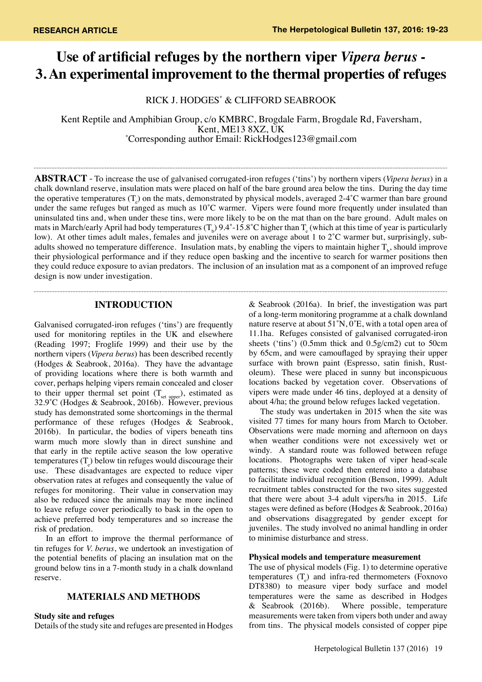# **Use of artificial refuges by the northern viper** *Vipera berus* **- 3. An experimental improvement to the thermal properties of refuges**

RICK J. HODGES\* & CLIFFORD SEABROOK

Kent Reptile and Amphibian Group, c/o KMBRC, Brogdale Farm, Brogdale Rd, Faversham,<br>Kent, ME13 8XZ, UK Kent, ME13 8XZ, UK<br>Corresponding author Email: RickHodges123@gmail.com\*

**Abstract** - To increase the use of galvanised corrugated-iron refuges ('tins') by northern vipers (*Vipera berus*) in a chalk downland reserve, insulation mats were placed on half of the bare ground area below the tins. During the day time the operative temperatures  $(T_e)$  on the mats, demonstrated by physical models, averaged 2-4°C warmer than bare ground under the same refuges but ranged as much as 10°C warmer. Vipers were found more frequently under insulated than uninsulated tins and, when under these tins, were more likely to be on the mat than on the bare ground. Adult males on mats in March/early April had body temperatures (T<sub>b</sub>) 9.4°-15.8°C higher than T<sub>e</sub> (which at this time of year is particularly low). At other times adult males, females and juveniles were on average about 1 to 2˚C warmer but, surprisingly, subadults showed no temperature difference. Insulation mats, by enabling the vipers to maintain higher  $T_b$ , should improve their physiological performance and if they reduce open basking and the incentive to search for warmer positions then they could reduce exposure to avian predators. The inclusion of an insulation mat as a component of an improved refuge design is now under investigation.

## **INTRODUCTION**

Galvanised corrugated-iron refuges ('tins') are frequently used for monitoring reptiles in the UK and elsewhere (Reading 1997; Froglife 1999) and their use by the northern vipers (*Vipera berus*) has been described recently (Hodges & Seabrook, 2016a). They have the advantage of providing locations where there is both warmth and cover, perhaps helping vipers remain concealed and closer to their upper thermal set point  $(T_{\text{set upper}})$ , estimated as 32.9˚C (Hodges & Seabrook, 2016b). However, previous study has demonstrated some shortcomings in the thermal performance of these refuges (Hodges & Seabrook, 2016b). In particular, the bodies of vipers beneath tins warm much more slowly than in direct sunshine and that early in the reptile active season the low operative temperatures  $(T_e)$  below tin refuges would discourage their use. These disadvantages are expected to reduce viper observation rates at refuges and consequently the value of refuges for monitoring. Their value in conservation may also be reduced since the animals may be more inclined to leave refuge cover periodically to bask in the open to achieve preferred body temperatures and so increase the risk of predation.

In an effort to improve the thermal performance of tin refuges for *V. berus*, we undertook an investigation of the potential benefits of placing an insulation mat on the ground below tins in a 7-month study in a chalk downland reserve.

# **MATERIALS AND METHODS**

#### **Study site and refuges**

Details of the study site and refuges are presented in Hodges

& Seabrook (2016a). In brief, the investigation was part of a long-term monitoring programme at a chalk downland nature reserve at about 51˚N, 0˚E, with a total open area of 11.1ha. Refuges consisted of galvanised corrugated-iron sheets ('tins') (0.5mm thick and 0.5g/cm2) cut to 50cm by 65cm, and were camouflaged by spraying their upper surface with brown paint (Espresso, satin finish, Rustoleum). These were placed in sunny but inconspicuous locations backed by vegetation cover. Observations of vipers were made under 46 tins, deployed at a density of about 4/ha; the ground below refuges lacked vegetation.

The study was undertaken in 2015 when the site was visited 77 times for many hours from March to October. Observations were made morning and afternoon on days when weather conditions were not excessively wet or windy. A standard route was followed between refuge locations. Photographs were taken of viper head-scale patterns; these were coded then entered into a database to facilitate individual recognition (Benson, 1999). Adult recruitment tables constructed for the two sites suggested that there were about 3-4 adult vipers/ha in 2015. Life stages were defined as before (Hodges & Seabrook, 2016a) and observations disaggregated by gender except for juveniles. The study involved no animal handling in order to minimise disturbance and stress.

#### **Physical models and temperature measurement**

The use of physical models (Fig. 1) to determine operative temperatures  $(T_e)$  and infra-red thermometers (Foxnovo DT8380) to measure viper body surface and model temperatures were the same as described in Hodges & Seabrook (2016b). Where possible, temperature measurements were taken from vipers both under and away from tins. The physical models consisted of copper pipe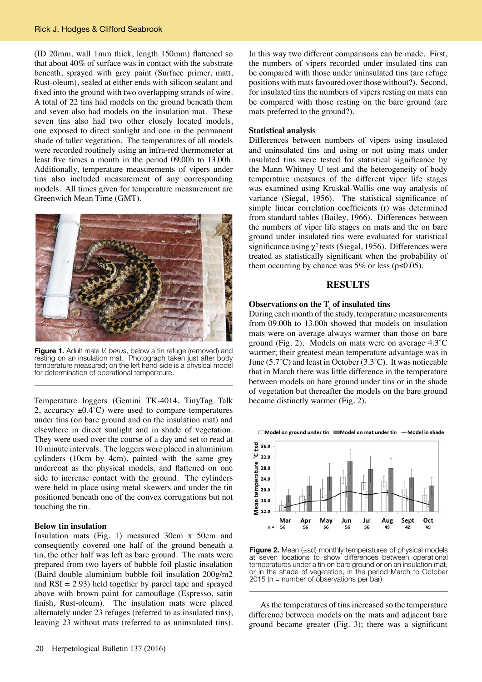(ID 20mm, wall 1mm thick, length 150mm) flattened so that about 40% of surface was in contact with the substrate beneath, sprayed with grey paint (Surface primer, matt, Rust-oleum), sealed at either ends with silicon sealant and fixed into the ground with two overlapping strands of wire. A total of 22 tins had models on the ground beneath them and seven also had models on the insulation mat. These seven tins also had two other closely located models, one exposed to direct sunlight and one in the permanent shade of taller vegetation. The temperatures of all models were recorded routinely using an infra-red thermometer at least five times a month in the period 09.00h to 13.00h. Additionally, temperature measurements of vipers under tins also included measurement of any corresponding models. All times given for temperature measurement are Greenwich Mean Time (GMT).



**Figure 1.** Adult male *V. berus*, below a tin refuge (removed) and resting on an insulation mat. Photograph taken just after body temperature measured; on the left hand side is a physical model for determination of operational temperature.

Temperature loggers (Gemini TK-4014, TinyTag Talk 2, accuracy  $\pm 0.4^{\circ}$ C) were used to compare temperatures under tins (on bare ground and on the insulation mat) and elsewhere in direct sunlight and in shade of vegetation. They were used over the course of a day and set to read at 10 minute intervals. The loggers were placed in aluminium cylinders (10cm by 4cm), painted with the same grey undercoat as the physical models, and flattened on one side to increase contact with the ground. The cylinders were held in place using metal skewers and under the tin positioned beneath one of the convex corrugations but not touching the tin.

## **Below tin insulation**

Insulation mats (Fig. 1) measured 30cm x 50cm and consequently covered one half of the ground beneath a tin, the other half was left as bare ground. The mats were prepared from two layers of bubble foil plastic insulation (Baird double aluminium bubble foil insulation 200g/m2 and  $RSI = 2.93$ ) held together by parcel tape and sprayed above with brown paint for camouflage (Espresso, satin finish, Rust-oleum). The insulation mats were placed alternately under 23 refuges (referred to as insulated tins), leaving 23 without mats (referred to as uninsulated tins).

In this way two different comparisons can be made. First, the numbers of vipers recorded under insulated tins can be compared with those under uninsulated tins (are refuge positions with mats favoured over those without?). Second, for insulated tins the numbers of vipers resting on mats can be compared with those resting on the bare ground (are mats preferred to the ground?).

#### **Statistical analysis**

Differences between numbers of vipers using insulated and uninsulated tins and using or not using mats under insulated tins were tested for statistical significance by the Mann Whitney U test and the heterogeneity of body temperature measures of the different viper life stages was examined using Kruskal-Wallis one way analysis of variance (Siegal, 1956). The statistical significance of simple linear correlation coefficients (r) was determined from standard tables (Bailey, 1966). Differences between the numbers of viper life stages on mats and the on bare ground under insulated tins were evaluated for statistical significance using  $\chi^2$  tests (Siegal, 1956). Differences were treated as statistically significant when the probability of them occurring by chance was 5% or less ( $p \le 0.05$ ).

#### **RESULTS**

# **Observations on the T<sup>e</sup> of insulated tins**

During each month of the study, temperature measurements from 09.00h to 13.00h showed that models on insulation mats were on average always warmer than those on bare ground (Fig. 2). Models on mats were on average 4.3˚C warmer; their greatest mean temperature advantage was in June (5.7˚C) and least in October (3.3˚C). It was noticeable that in March there was little difference in the temperature between models on bare ground under tins or in the shade of vegetation but thereafter the models on the bare ground became distinctly warmer (Fig. 2).

□Model on ground under tin ■Model on mat under tin → Model in shade



**Figure 2.** Mean (±sd) monthly temperatures of physical models at seven locations to show differences between operational temperatures under a tin on bare ground or on an insulation mat, or in the shade of vegetation, in the period March to October 2015 (n = number of observations per bar)

As the temperatures of tins increased so the temperature difference between models on the mats and adjacent bare ground became greater (Fig. 3); there was a significant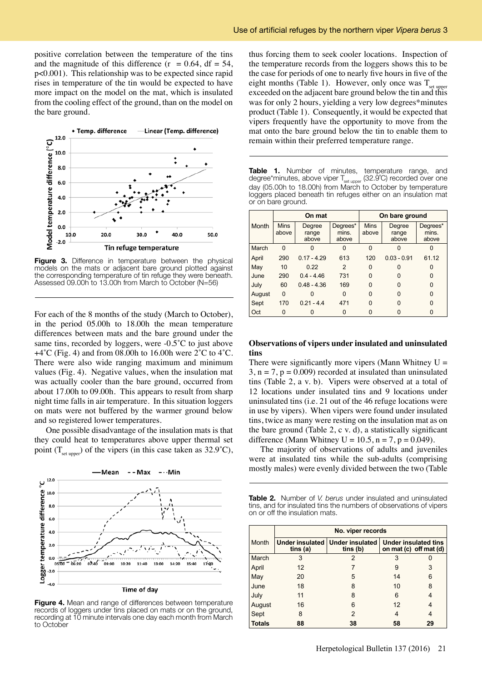positive correlation between the temperature of the tins and the magnitude of this difference ( $r = 0.64$ , df = 54, p<0.001). This relationship was to be expected since rapid rises in temperature of the tin would be expected to have more impact on the model on the mat, which is insulated from the cooling effect of the ground, than on the model on the bare ground.



Figure 3. Difference in temperature between the physical models on the mats or adjacent bare ground plotted against the corresponding temperature of tin refuge they were beneath. Assessed 09.00h to 13.00h from March to October (N=56)

For each of the 8 months of the study (March to October), in the period 05.00h to 18.00h the mean temperature differences between mats and the bare ground under the same tins, recorded by loggers, were -0.5<sup>°</sup>C to just above  $+4^{\circ}$ C (Fig. 4) and from 08.00h to 16.00h were 2 $^{\circ}$ C to 4 $^{\circ}$ C. There were also wide ranging maximum and minimum values (Fig. 4). Negative values, when the insulation mat was actually cooler than the bare ground, occurred from about 17.00h to 09.00h. This appears to result from sharp night time falls in air temperature. In this situation loggers on mats were not buffered by the warmer ground below and so registered lower temperatures.

One possible disadvantage of the insulation mats is that they could heat to temperatures above upper thermal set point  $(T_{\text{set upper}})$  of the vipers (in this case taken as 32.9°C),



**Figure 4.** Mean and range of differences between temperature records of loggers under tins placed on mats or on the ground, recording at 10 minute intervals one day each month from March to October

thus forcing them to seek cooler locations. Inspection of the temperature records from the loggers shows this to be the case for periods of one to nearly five hours in five of the eight months (Table 1). However, only once was  $T_{\text{set upper}}$ exceeded on the adjacent bare ground below the tin and this was for only 2 hours, yielding a very low degrees\*minutes product (Table 1). Consequently, it would be expected that vipers frequently have the opportunity to move from the mat onto the bare ground below the tin to enable them to remain within their preferred temperature range.

**Table 1.** Number of minutes, temperature range, and degree\*minutes, above viper T<sub>set upper</sub> (32.9<sup>°</sup>C) recorded over one day (05.00h to 18.00h) from March to October by temperature loggers placed beneath tin refuges either on an insulation mat or on bare ground.

|        | On mat               |                          |                            | On bare ground       |                          |                            |
|--------|----------------------|--------------------------|----------------------------|----------------------|--------------------------|----------------------------|
| Month  | <b>Mins</b><br>above | Degree<br>range<br>above | Degrees*<br>mins.<br>above | <b>Mins</b><br>above | Degree<br>range<br>above | Degrees*<br>mins.<br>above |
| March  | $\Omega$             |                          |                            | 0                    |                          |                            |
| April  | 290                  | $0.17 - 4.29$            | 613                        | 120                  | $0.03 - 0.91$            | 61.12                      |
| May    | 10                   | 0.22                     | 2                          | 0                    | 0                        | 0                          |
| June   | 290                  | $04 - 446$               | 731                        | 0                    | 0                        | 0                          |
| July   | 60                   | $0.48 - 4.36$            | 169                        | 0                    | 0                        | 0                          |
| August | $\Omega$             |                          | 0                          | 0                    | ŋ                        | O                          |
| Sept   | 170                  | $0.21 - 4.4$             | 471                        | 0                    | ŋ                        | O                          |
| Oct    | 0                    |                          | 0                          | 0                    |                          |                            |

## **Observations of vipers under insulated and uninsulated tins**

There were significantly more vipers (Mann Whitney  $U =$  $3, n = 7, p = 0.009$  recorded at insulated than uninsulated tins (Table 2, a v. b). Vipers were observed at a total of 12 locations under insulated tins and 9 locations under uninsulated tins (i.e. 21 out of the 46 refuge locations were in use by vipers). When vipers were found under insulated tins, twice as many were resting on the insulation mat as on the bare ground (Table 2, c v. d), a statistically significant difference (Mann Whitney  $U = 10.5$ ,  $n = 7$ ,  $p = 0.049$ ).

The majority of observations of adults and juveniles were at insulated tins while the sub-adults (comprising mostly males) were evenly divided between the two (Table

**Table 2.** Number of *V. berus* under insulated and uninsulated tins, and for insulated tins the numbers of observations of vipers on or off the insulation mats.

|               | No. viper records |                                               |                                                           |    |  |
|---------------|-------------------|-----------------------------------------------|-----------------------------------------------------------|----|--|
| Month         | tins (a)          | Under insulated   Under insulated<br>tins (b) | <b>Under insulated tins</b><br>on mat $(c)$ off mat $(d)$ |    |  |
| March         | 3                 | 2                                             | 3                                                         |    |  |
| April         | 12                | 7                                             | 9                                                         | 3  |  |
| May           | 20                | 5                                             | 14                                                        | 6  |  |
| June          | 18                | 8                                             | 10                                                        | 8  |  |
| July          | 11                | 8                                             | 6                                                         | 4  |  |
| August        | 16                | 6                                             | 12                                                        | 4  |  |
| Sept          | 8                 | 2                                             | 4                                                         | 4  |  |
| <b>Totals</b> | 88                | 38                                            | 58                                                        | 29 |  |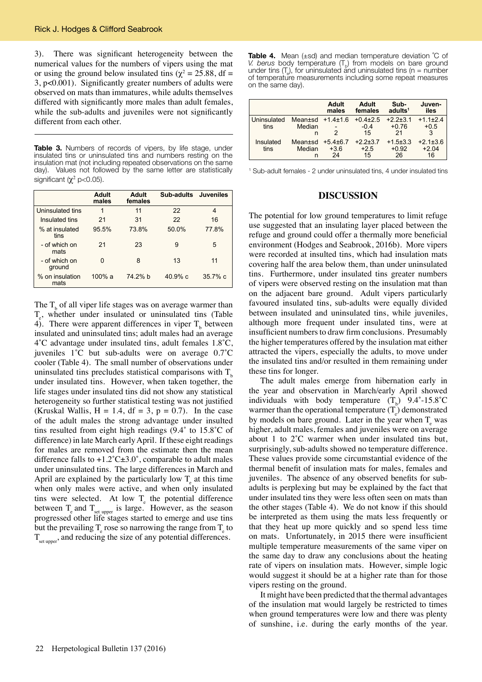3). There was significant heterogeneity between the numerical values for the numbers of vipers using the mat or using the ground below insulated tins ( $\chi^2 = 25.88$ , df = 3, p<0.001). Significantly greater numbers of adults were observed on mats than immatures, while adults themselves differed with significantly more males than adult females, while the sub-adults and juveniles were not significantly different from each other.

**Table 3.** Numbers of records of vipers, by life stage, under insulated tins or uninsulated tins and numbers resting on the insulation mat (not including repeated observations on the same day). Values not followed by the same letter are statistically significant ( $\chi^2$  p<0.05).

|                         | Adult<br>males | Adult<br>females | Sub-adults Juveniles |            |
|-------------------------|----------------|------------------|----------------------|------------|
| Uninsulated tins        | 1              | 11               | 22                   | 4          |
| Insulated tins          | 21             | 31               | 22                   | 16         |
| % at insulated<br>tins  | 95.5%          | 73.8%            | 50.0%                | 77.8%      |
| - of which on<br>mats   | 21             | 23               | 9                    | 5          |
| - of which on<br>ground | 0              | 8                | 13                   | 11         |
| % on insulation<br>mats | $100\%$ a      | 74 2% b          | 40.9%c               | $35.7\%$ c |

The  $T<sub>b</sub>$  of all viper life stages was on average warmer than  $T_e$ , whether under insulated or uninsulated tins (Table 4). There were apparent differences in viper  $T<sub>b</sub>$  between insulated and uninsulated tins; adult males had an average 4˚C advantage under insulated tins, adult females 1.8˚C, juveniles 1˚C but sub-adults were on average 0.7˚C cooler (Table 4). The small number of observations under uninsulated tins precludes statistical comparisons with  $T<sub>b</sub>$ under insulated tins. However, when taken together, the life stages under insulated tins did not show any statistical heterogeneity so further statistical testing was not justified (Kruskal Wallis,  $H = 1.4$ ,  $df = 3$ ,  $p = 0.7$ ). In the case of the adult males the strong advantage under insulted tins resulted from eight high readings (9.4˚ to 15.8˚C of difference) in late March early April. If these eight readings for males are removed from the estimate then the mean difference falls to  $+1.2^{\circ}$ C $\pm 3.0^{\circ}$ , comparable to adult males under uninsulated tins. The large differences in March and April are explained by the particularly low  $T_{e}$  at this time when only males were active, and when only insulated tins were selected. At low  $T_{\rm e}$  the potential difference between  $T_{\text{e}}$  and  $T_{\text{set upper}}$  is large. However, as the season progressed other life stages started to emerge and use tins but the prevailing  $T_e$  rose so narrowing the range from  $T_e$  to  $T<sub>set unper</sub>$ , and reducing the size of any potential differences.

**Table 4.** Mean (±sd) and median temperature deviation ˚C of *V. berus* body temperature (T<sub>b</sub>) from models on bare ground under tins  $(T_e)$ , for uninsulated and uninsulated tins (n = number of temperature measurements including some repeat measures on the same day).

|                     |                        | Adult<br>males                | Adult<br>females           | Sub-<br>adults <sup>1</sup>     | Juven-<br>iles                  |
|---------------------|------------------------|-------------------------------|----------------------------|---------------------------------|---------------------------------|
| Uninsulated<br>tins | Mean±sd<br>Median<br>n | $+14+16$<br>2                 | $+0.4+2.5$<br>$-0.4$<br>15 | $+2.2+3.1$<br>$+0.76$<br>21     | $+1.1\pm2.4$<br>$+0.5$<br>3     |
| Insulated<br>tins   | Mean±sd<br>Median<br>n | $+5.4\pm 6.7$<br>$+3.6$<br>24 | $+2.2+3.7$<br>$+2.5$<br>15 | $+1.5 \pm 3.3$<br>$+0.92$<br>26 | $+2.1 \pm 3.6$<br>$+2.04$<br>16 |

1 Sub-adult females - 2 under uninsulated tins, 4 under insulated tins

#### **DISCUSSION**

The potential for low ground temperatures to limit refuge use suggested that an insulating layer placed between the refuge and ground could offer a thermally more beneficial environment (Hodges and Seabrook, 2016b). More vipers were recorded at insulted tins, which had insulation mats covering half the area below them, than under uninsulated tins. Furthermore, under insulated tins greater numbers of vipers were observed resting on the insulation mat than on the adjacent bare ground. Adult vipers particularly favoured insulated tins, sub-adults were equally divided between insulated and uninsulated tins, while juveniles, although more frequent under insulated tins, were at insufficient numbers to draw firm conclusions. Presumably the higher temperatures offered by the insulation mat either attracted the vipers, especially the adults, to move under the insulated tins and/or resulted in them remaining under these tins for longer.

The adult males emerge from hibernation early in the year and observation in March/early April showed individuals with body temperature  $(T_b)$  9.4°-15.8°C warmer than the operational temperature  $(T_e)$  demonstrated by models on bare ground. Later in the year when  $T_{e}$  was higher, adult males, females and juveniles were on average about 1 to 2˚C warmer when under insulated tins but, surprisingly, sub-adults showed no temperature difference. These values provide some circumstantial evidence of the thermal benefit of insulation mats for males, females and juveniles. The absence of any observed benefits for subadults is perplexing but may be explained by the fact that under insulated tins they were less often seen on mats than the other stages (Table 4). We do not know if this should be interpreted as them using the mats less frequently or that they heat up more quickly and so spend less time on mats. Unfortunately, in 2015 there were insufficient multiple temperature measurements of the same viper on the same day to draw any conclusions about the heating rate of vipers on insulation mats. However, simple logic would suggest it should be at a higher rate than for those vipers resting on the ground.

It might have been predicted that the thermal advantages of the insulation mat would largely be restricted to times when ground temperatures were low and there was plenty of sunshine, i.e. during the early months of the year.